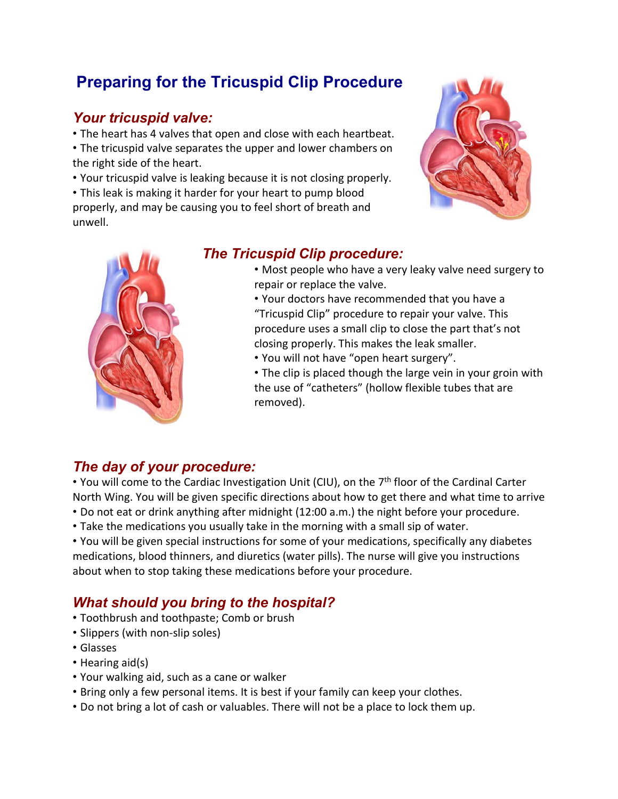# **Preparing for the Tricuspid Clip Procedure**

## *Your tricuspid valve:*

• The heart has 4 valves that open and close with each heartbeat. • The tricuspid valve separates the upper and lower chambers on the right side of the heart.

• Your tricuspid valve is leaking because it is not closing properly.

• This leak is making it harder for your heart to pump blood properly, and may be causing you to feel short of breath and unwell.





## *The Tricuspid Clip procedure:*

• Most people who have a very leaky valve need surgery to repair or replace the valve.

• Your doctors have recommended that you have a "Tricuspid Clip" procedure to repair your valve. This procedure uses a small clip to close the part that's not closing properly. This makes the leak smaller.

• You will not have "open heart surgery".

• The clip is placed though the large vein in your groin with the use of "catheters" (hollow flexible tubes that are removed).

## *The day of your procedure:*

• You will come to the Cardiac Investigation Unit (CIU), on the 7<sup>th</sup> floor of the Cardinal Carter North Wing. You will be given specific directions about how to get there and what time to arrive • Do not eat or drink anything after midnight (12:00 a.m.) the night before your procedure.

• Take the medications you usually take in the morning with a small sip of water.

• You will be given special instructions for some of your medications, specifically any diabetes medications, blood thinners, and diuretics (water pills). The nurse will give you instructions about when to stop taking these medications before your procedure.

## *What should you bring to the hospital?*

- Toothbrush and toothpaste; Comb or brush
- Slippers (with non‐slip soles)
- Glasses
- Hearing aid(s)
- Your walking aid, such as a cane or walker
- Bring only a few personal items. It is best if your family can keep your clothes.
- Do not bring a lot of cash or valuables. There will not be a place to lock them up.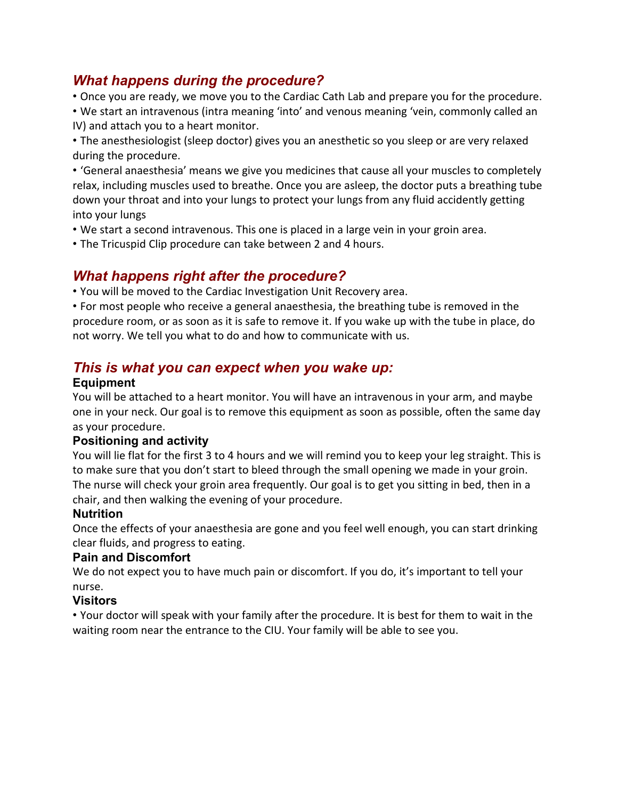## *What happens during the procedure?*

• Once you are ready, we move you to the Cardiac Cath Lab and prepare you for the procedure.

• We start an intravenous (intra meaning 'into' and venous meaning 'vein, commonly called an IV) and attach you to a heart monitor.

• The anesthesiologist (sleep doctor) gives you an anesthetic so you sleep or are very relaxed during the procedure.

• 'General anaesthesia' means we give you medicines that cause all your muscles to completely relax, including muscles used to breathe. Once you are asleep, the doctor puts a breathing tube down your throat and into your lungs to protect your lungs from any fluid accidently getting into your lungs

- We start a second intravenous. This one is placed in a large vein in your groin area.
- The Tricuspid Clip procedure can take between 2 and 4 hours.

## *What happens right after the procedure?*

• You will be moved to the Cardiac Investigation Unit Recovery area.

• For most people who receive a general anaesthesia, the breathing tube is removed in the procedure room, or as soon as it is safe to remove it. If you wake up with the tube in place, do not worry. We tell you what to do and how to communicate with us.

## *This is what you can expect when you wake up:*

#### **Equipment**

You will be attached to a heart monitor. You will have an intravenous in your arm, and maybe one in your neck. Our goal is to remove this equipment as soon as possible, often the same day as your procedure.

#### **Positioning and activity**

You will lie flat for the first 3 to 4 hours and we will remind you to keep your leg straight. This is to make sure that you don't start to bleed through the small opening we made in your groin. The nurse will check your groin area frequently. Our goal is to get you sitting in bed, then in a chair, and then walking the evening of your procedure.

#### **Nutrition**

Once the effects of your anaesthesia are gone and you feel well enough, you can start drinking clear fluids, and progress to eating.

#### **Pain and Discomfort**

We do not expect you to have much pain or discomfort. If you do, it's important to tell your nurse.

#### **Visitors**

• Your doctor will speak with your family after the procedure. It is best for them to wait in the waiting room near the entrance to the CIU. Your family will be able to see you.